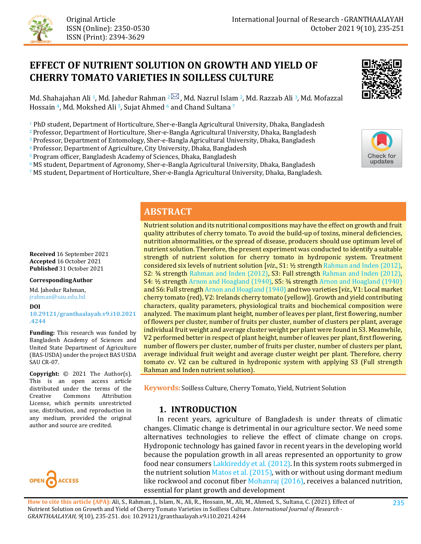

# **EFFECT OF NUTRIENT SOLUTION ON GROWTH AND YIELD OF CHERRY TOMATO VARIETIES IN SOILLESS CULTURE**



Md. Shahajahan Ali <sup>1</sup>, Md. Jahedur Rahman <sup>2</sup> 3, Md. Nazrul Islam <sup>2</sup>, Md. Razzab Ali <sup>3</sup>, Md. Mofazzal Hossain <sup>4</sup>, Md. Mokshed Ali <sup>5</sup>, Sujat Ahmed <sup>6</sup> and Chand Sultana <sup>7</sup>

<sup>1</sup> PhD student, Department of Horticulture, Sher-e-Bangla Agricultural University, Dhaka, Bangladesh

2 Professor, Department of Horticulture, Sher-e-Bangla Agricultural University, Dhaka, Bangladesh

3 Professor, Department of Entomology, Sher-e-Bangla Agricultural University, Dhaka, Bangladesh

4 Professor, Department of Agriculture, City University, Dhaka, Bangladesh

5 Program officer, Bangladesh Academy of Sciences, Dhaka, Bangladesh

 $6$  MS student, Department of Agronomy, Sher-e-Bangla Agricultural University, Dhaka, Bangladesh

7 MS student, Department of Horticulture, Sher-e-Bangla Agricultural University, Dhaka, Bangladesh.



# **ABSTRACT**

**Received** 16 September 2021 **Accepted** 16 October 2021 **Published** 31 October 2021

#### **CorrespondingAuthor**

Md. Jahedur Rahman, jrahman@sau.edu.bd

#### **DOI**

**[10.29121/granthaalayah.v9.i10.2021](https://dx.doi.org/10.29121/granthaalayah.v9.i10.2021.4244) [.4244](https://dx.doi.org/10.29121/granthaalayah.v9.i10.2021.4244)** 

**Funding:** This research was funded by Bangladesh Academy of Sciences and United State Department of Agriculture (BAS-USDA) under the project BAS USDA SAU CR-07.

**Copyright:** © 2021 The Author(s). This is an open access article distributed under the terms of the<br>Creative Commons Attribution Attribution License, which permits unrestricted use, distribution, and reproduction in any medium, provided the original author and source are credited.



Nutrient solution and its nutritional compositions may have the effect on growth and fruit quality attributes of cherry tomato. To avoid the build-up of toxins, mineral deficiencies, nutrition abnormalities, or the spread of disease, producers should use optimum level of nutrient solution. Therefore, the present experiment was conducted to identify a suitable strength of nutrient solution for cherry tomato in hydroponic system. Treatment considered six levels of nutrient solution [*viz*., S1: ½ strength [Rahman and Inden \(2012\),](#page-15-0) S2: ¾ strength [Rahman and Inden \(2012\),](#page-15-0) S3: Full strength Rahman and Inden (2012), S4: ½ strength [Arnon and Hoagland \(1940\),](#page-13-0) S5: ¾ strength [Arnon and Hoagland \(1940\)](#page-13-0) and S6: Full strengt[h Arnon and Hoagland \(1940\)](#page-13-0) and two varieties [*viz*., V1: Local market cherry tomato (red), V2: Irelands cherry tomato (yellow)]. Growth and yield contributing characters, quality parameters, physiological traits and biochemical composition were analyzed. The maximum plant height, number of leaves per plant, first flowering, number of flowers per cluster, number of fruits per cluster, number of clusters per plant, average individual fruit weight and average cluster weight per plant were found in S3. Meanwhile, V2 performed better in respect of plant height, number of leaves per plant, first flowering, number of flowers per cluster, number of fruits per cluster, number of clusters per plant, average individual fruit weight and average cluster weight per plant. Therefore, cherry tomato cv. V2 can be cultured in hydroponic system with applying S3 (Full strength Rahman and Inden nutrient solution).

**Keywords:** Soilless Culture, Cherry Tomato, Yield, Nutrient Solution

### **1. INTRODUCTION**

 In recent years, agriculture of Bangladesh is under threats of climatic changes. Climatic change is detrimental in our agriculture sector. We need some alternatives technologies to relieve the effect of climate change on crops. Hydroponic technology has gained favor in recent years in the developing world because the population growth in all areas represented an opportunity to grow food near consumers [Lakkireddy et al. \(2012\).](#page-14-0) In this system roots submerged in the nutrient solutio[n Matos et al. \(2015\),](#page-14-1) with or without using dormant medium like rockwool and coconut fiber [Mohanraj \(2016\),](#page-14-2) receives a balanced nutrition, essential for plant growth and development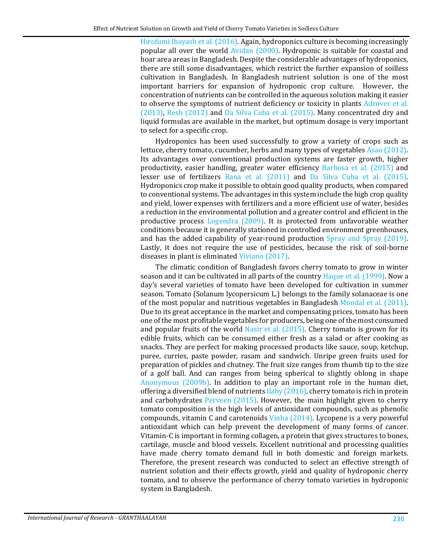[Hirofumi Ibayash et al. \(2016\).](#page-14-3) Again, hydroponics culture is becoming increasingly popular all over the world [Avidan \(2000\).](#page-13-1) Hydroponic is suitable for coastal and hoar area areas in Bangladesh. Despite the considerable advantages of hydroponics, there are still some disadvantages, which restrict the further expansion of soilless cultivation in Bangladesh. In Bangladesh nutrient solution is one of the most important barriers for expansion of hydroponic crop culture. However, the concentration of nutrients can be controlled in the aqueous solution making it easier to observe the symptoms of nutrient deficiency or toxicity in plants [Adrover et al.](#page-13-2)  [\(2013\),](#page-13-2) [Resh \(2012\)](#page-15-1) and [Da Silva Cuba et al. \(2015\).](#page-13-3) Many concentrated dry and liquid formulas are available in the market, but optimum dosage is very important to select for a specific crop.

Hydroponics has been used successfully to grow a variety of crops such as lettuce, cherry tomato, cucumber, herbs and many types of vegetables [Asao \(2012\).](#page-13-4) Its advantages over conventional production systems are faster growth, higher productivity, easier handling, greater water efficiency [Barbosa et al. \(2015\)](#page-13-5) and lesser use of fertilizers [Rana et al. \(2011\)](#page-15-2) and [Da Silva Cuba et al. \(2015\).](#page-13-3) Hydroponics crop make it possible to obtain good quality products, when compared to conventional systems. The advantages in this system include the high crop quality and yield, lower expenses with fertilizers and a more efficient use of water, besides a reduction in the environmental pollution and a greater control and efficient in the productive process [Logendra \(2009\).](#page-14-4) It is protected from unfavorable weather conditions because it is generally stationed in controlled environment greenhouses, and has the added capability of year-round production [Spray and Spray \(2019\).](#page-16-0) Lastly, it does not require the use of pesticides, because the risk of soil-borne diseases in plant is eliminated [Viviano \(2017\).](#page-16-1) 

The climatic condition of Bangladesh favors cherry tomato to grow in winter season and it can be cultivated in all parts of the country [Haque et al. \(1999\).](#page-14-5) Now a day's several varieties of tomato have been developed for cultivation in summer season. Tomato (Solanum lycopersicum L.) belongs to the family solanaceae is one of the most popular and nutritious vegetables in Bangladesh [Mondal et al. \(2011\).](#page-14-6) Due to its great acceptance in the market and compensating prices, tomato has been one of the most profitable vegetables for producers, being one of the most consumed and popular fruits of the world Nasir et al. [\(2015\).](#page-15-3) Cherry tomato is grown for its edible fruits, which can be consumed either fresh as a salad or after cooking as snacks. They are perfect for making processed products like sauce, soup, ketchup, puree, curries, paste powder, rasam and sandwich. Unripe green fruits used for preparation of pickles and chutney. The fruit size ranges from thumb tip to the size of a golf ball. And can ranges from being spherical to slightly oblong in shape [Anonymous \(2009b\).](#page-13-6) In addition to play an important role in the human diet, offering a diversified blend of nutrient[s Ilahy \(2016\),](#page-14-7) cherry tomato is rich in protein and carbohydrates [Perveen \(2015\).](#page-15-4) However, the main highlight given to cherry tomato composition is the high levels of antioxidant compounds, such as phenolic compounds, vitamin C and carotenoids [Vinha \(2014\).](#page-16-2) Lycopene is a very powerful antioxidant which can help prevent the development of many forms of cancer. Vitamin-C is important in forming collagen, a protein that gives structures to bones, cartilage, muscle and blood vessels. Excellent nutritional and processing qualities have made cherry tomato demand full in both domestic and foreign markets. Therefore, the present research was conducted to select an effective strength of nutrient solution and their effects growth, yield and quality of hydroponic cherry tomato, and to observe the performance of cherry tomato varieties in hydroponic system in Bangladesh.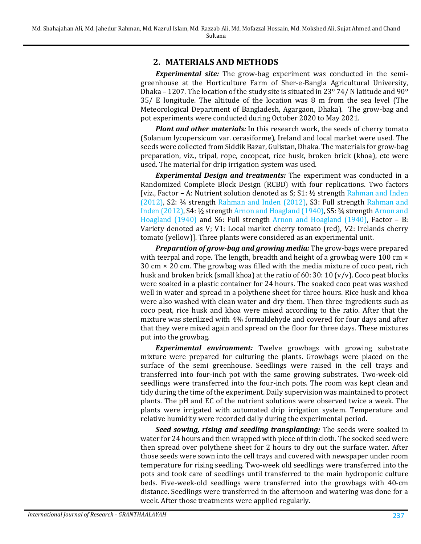# **2. MATERIALS AND METHODS**

*Experimental site:* The grow-bag experiment was conducted in the semigreenhouse at the Horticulture Farm of Sher-e-Bangla Agricultural University, Dhaka – 1207. The location of the study site is situated in 23 $\frac{974}{N}$  latitude and 90 $\frac{90}{2}$ 35/ E longitude. The altitude of the location was 8 m from the sea level (The Meteorological Department of Bangladesh, Agargaon, Dhaka). The grow-bag and pot experiments were conducted during October 2020 to May 2021.

*Plant and other materials:* In this research work, the seeds of cherry tomato (Solanum lycopersicum var. cerasiforme), Ireland and local market were used. The seeds were collected from Siddik Bazar, Gulistan, Dhaka. The materials for grow-bag preparation, viz., tripal, rope, cocopeat, rice husk, broken brick (khoa), etc were used. The material for drip irrigation system was used.

*Experimental Design and treatments:* The experiment was conducted in a Randomized Complete Block Design (RCBD) with four replications. Two factors [viz., Factor – A: Nutrient solution denoted as  $S$ ; S1:  $\frac{1}{2}$  strength Rahman and Inden [\(2012\),](#page-15-0) S2: ¾ strength [Rahman and Inden \(2012\),](#page-15-0) S3: Full strength [Rahman and](#page-15-0)  [Inden \(2012\),](#page-15-0) S4: ½ strength [Arnon and Hoagland \(1940\),](#page-13-0) S5: ¾ strengt[h Arnon and](#page-13-0)  [Hoagland \(1940\)](#page-13-0) and S6: Full strength [Arnon and Hoagland \(1940\),](#page-13-0) Factor – B: Variety denoted as V; V1: Local market cherry tomato (red), V2: Irelands cherry tomato (yellow)]. Three plants were considered as an experimental unit.

*Preparation of grow-bag and growing media:* The grow-bags were prepared with teerpal and rope. The length, breadth and height of a growbag were 100 cm  $\times$ 30 cm × 20 cm. The growbag was filled with the media mixture of coco peat, rich husk and broken brick (small khoa) at the ratio of 60: 30: 10 (v/v). Coco peat blocks were soaked in a plastic container for 24 hours. The soaked coco peat was washed well in water and spread in a polythene sheet for three hours. Rice husk and khoa were also washed with clean water and dry them. Then three ingredients such as coco peat, rice husk and khoa were mixed according to the ratio. After that the mixture was sterilized with 4% formaldehyde and covered for four days and after that they were mixed again and spread on the floor for three days. These mixtures put into the growbag.

*Experimental environment:* Twelve growbags with growing substrate mixture were prepared for culturing the plants. Growbags were placed on the surface of the semi greenhouse. Seedlings were raised in the cell trays and transferred into four-inch pot with the same growing substrates. Two-week-old seedlings were transferred into the four-inch pots. The room was kept clean and tidy during the time of the experiment. Daily supervision was maintained to protect plants. The pH and EC of the nutrient solutions were observed twice a week. The plants were irrigated with automated drip irrigation system. Temperature and relative humidity were recorded daily during the experimental period.

*Seed sowing, rising and seedling transplanting:* The seeds were soaked in water for 24 hours and then wrapped with piece of thin cloth. The socked seed were then spread over polythene sheet for 2 hours to dry out the surface water. After those seeds were sown into the cell trays and covered with newspaper under room temperature for rising seedling. Two-week old seedlings were transferred into the pots and took care of seedlings until transferred to the main hydroponic culture beds. Five-week-old seedlings were transferred into the growbags with 40-cm distance. Seedlings were transferred in the afternoon and watering was done for a week. After those treatments were applied regularly.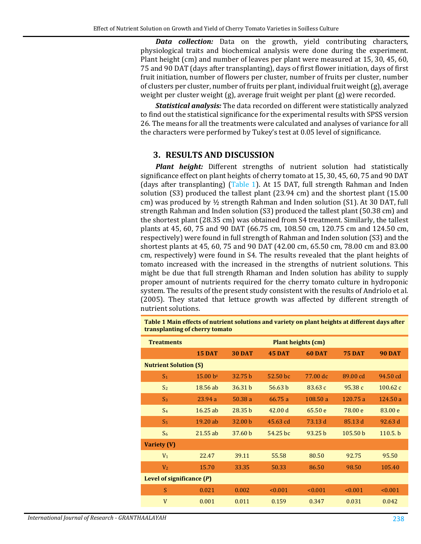*Data collection:* Data on the growth, yield contributing characters, physiological traits and biochemical analysis were done during the experiment. Plant height (cm) and number of leaves per plant were measured at 15, 30, 45, 60, 75 and 90 DAT (days after transplanting), days of first flower initiation, days of first fruit initiation, number of flowers per cluster, number of fruits per cluster, number of clusters per cluster, number of fruits per plant, individual fruit weight (g), average weight per cluster weight (g), average fruit weight per plant (g) were recorded.

*Statistical analysis:* The data recorded on different were statistically analyzed to find out the statistical significance for the experimental results with SPSS version 26. The means for all the treatments were calculated and analyses of variance for all the characters were performed by Tukey's test at 0.05 level of significance.

#### **3. RESULTS AND DISCUSSION**

*Plant height:* Different strengths of nutrient solution had statistically significance effect on plant heights of cherry tomato at 15, 30, 45, 60, 75 and 90 DAT (days after transplanting) [\(Table 1\)](#page-3-0). At 15 DAT, full strength Rahman and Inden solution (S3) produced the tallest plant (23.94 cm) and the shortest plant (15.00 cm) was produced by  $\frac{1}{2}$  strength Rahman and Inden solution (S1). At 30 DAT, full strength Rahman and Inden solution (S3) produced the tallest plant (50.38 cm) and the shortest plant (28.35 cm) was obtained from S4 treatment. Similarly, the tallest plants at 45, 60, 75 and 90 DAT (66.75 cm, 108.50 cm, 120.75 cm and 124.50 cm, respectively) were found in full strength of Rahman and Inden solution (S3) and the shortest plants at 45, 60, 75 and 90 DAT (42.00 cm, 65.50 cm, 78.00 cm and 83.00 cm, respectively) were found in S4. The results revealed that the plant heights of tomato increased with the increased in the strengths of nutrient solutions. This might be due that full strength Rhaman and Inden solution has ability to supply proper amount of nutrients required for the cherry tomato culture in hydroponic system. The results of the present study consistent with the results of Andriolo et al. (2005). They stated that lettuce growth was affected by different strength of nutrient solutions.

| <b>Treatments</b>            | <b>Plant heights (cm)</b> |                    |                    |                    |                     |                    |  |
|------------------------------|---------------------------|--------------------|--------------------|--------------------|---------------------|--------------------|--|
|                              | <b>15 DAT</b>             | <b>30 DAT</b>      | <b>45 DAT</b>      | <b>60 DAT</b>      | <b>75 DAT</b>       | <b>90 DAT</b>      |  |
| <b>Nutrient Solution (S)</b> |                           |                    |                    |                    |                     |                    |  |
| S <sub>1</sub>               | $15.00 b^2$               | 32.75 h            | 52.50 hc           | 77.00 dc           | 89.00 cd            | 94.50 cd           |  |
| S <sub>2</sub>               | 18.56 ab                  | 36.31 b            | 56.63 <sub>b</sub> | 83.63 c            | 95.38c              | 100.62c            |  |
| S <sub>3</sub>               | 23.94a                    | 50.38 a            | 66.75 a            | 108.50a            | 120.75 a            | 124.50a            |  |
| S <sub>4</sub>               | 16.25 ab                  | 28.35 <sub>b</sub> | 42.00 d            | 65.50 e            | 78.00 e             | 83.00 e            |  |
| S <sub>5</sub>               | 19.20 ab                  | 32.00 b            | $45.63$ cd         | 73.13 d            | 85.13 d             | 92.63 d            |  |
| S <sub>6</sub>               | 21.55 ab                  | 37.60 <sub>b</sub> | 54.25 bc           | 93.25 <sub>b</sub> | 105.50 <sub>b</sub> | 110.5 <sub>b</sub> |  |
| Variety (V)                  |                           |                    |                    |                    |                     |                    |  |
| V <sub>1</sub>               | 22.47                     | 39.11              | 55.58              | 80.50              | 92.75               | 95.50              |  |
| V <sub>2</sub>               | 15.70                     | 33.35              | 50.33              | 86.50              | 98.50               | 105.40             |  |
| Level of significance $(P)$  |                           |                    |                    |                    |                     |                    |  |
| S                            | 0.021                     | 0.002              | < 0.001            | < 0.001            | < 0.001             | < 0.001            |  |
| V                            | 0.001                     | 0.011              | 0.159              | 0.347              | 0.031               | 0.042              |  |

<span id="page-3-0"></span>**Table 1 Main effects of nutrient solutions and variety on plant heights at different days after transplanting of cherry tomato**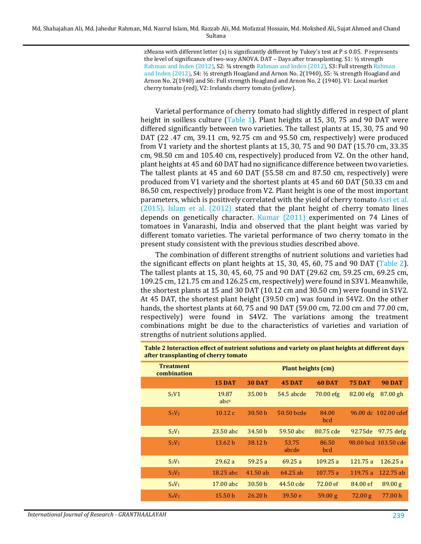zMeans with different letter (s) is significantly different by Tukey's test at  $P \le 0.05$ . P represents the level of significance of two-way ANOVA. DAT - Days after transplanting. S1: 1/2 strength [Rahman and Inden \(2012\),](#page-15-0) S2: ¾ strength [Rahman and Inden](#page-15-5) (2012), S3: Full strengt[h Rahman](#page-15-0)  [and Inden \(2012\),](#page-15-0) S4: ½ strength Hoagland and Arnon No. 2(1940), S5: ¾ strength Hoagland and Arnon No. 2(1940) and S6: Full strength Hoagland and Arnon No. 2 (1940). V1: Local market cherry tomato (red), V2: Irelands cherry tomato (yellow).

Varietal performance of cherry tomato had slightly differed in respect of plant height in soilless culture [\(Table 1\)](#page-3-0). Plant heights at 15, 30, 75 and 90 DAT were differed significantly between two varieties. The tallest plants at 15, 30, 75 and 90 DAT (22 .47 cm, 39.11 cm, 92.75 cm and 95.50 cm, respectively) were produced from V1 variety and the shortest plants at 15, 30, 75 and 90 DAT (15.70 cm, 33.35 cm, 98.50 cm and 105.40 cm, respectively) produced from V2. On the other hand, plant heights at 45 and 60 DAT had no significance difference between two varieties. The tallest plants at 45 and 60 DAT (55.58 cm and 87.50 cm, respectively) were produced from V1 variety and the shortest plants at 45 and 60 DAT (50.33 cm and 86.50 cm, respectively) produce from V2. Plant height is one of the most important parameters, which is positively correlated with the yield of cherry tomat[o Asri et al.](#page-13-7)  [\(2015\).](#page-13-7) [Islam et al. \(2012\)](#page-14-8) stated that the plant height of cherry tomato lines depends on genetically character. [Kumar \(2011\)](#page-14-9) experimented on 74 Lines of tomatoes in Vanarashi, India and observed that the plant height was varied by different tomato varieties. The varietal performance of two cherry tomato in the present study consistent with the previous studies described above.

The combination of different strengths of nutrient solutions and varieties had the significant effects on plant heights at 15, 30, 45, 60, 75 and 90 DAT [\(Table 2\)](#page-4-0). The tallest plants at 15, 30, 45, 60, 75 and 90 DAT (29.62 cm, 59.25 cm, 69.25 cm, 109.25 cm, 121.75 cm and 126.25 cm, respectively) were found in S3V1. Meanwhile, the shortest plants at 15 and 30 DAT (10.12 cm and 30.50 cm) were found in S1V2. At 45 DAT, the shortest plant height (39.50 cm) was found in S4V2. On the other hands, the shortest plants at 60, 75 and 90 DAT (59.00 cm, 72.00 cm and 77.00 cm, respectively) were found in S4V2. The variations among the treatment combinations might be due to the characteristics of varieties and variation of strengths of nutrient solutions applied.

| <b>Treatment</b><br>combination |                           |                    | <b>Plant heights (cm)</b> |               |               |                      |
|---------------------------------|---------------------------|--------------------|---------------------------|---------------|---------------|----------------------|
|                                 | 15 DAT                    | <b>30 DAT</b>      | <b>45 DAT</b>             | <b>60 DAT</b> | <b>75 DAT</b> | <b>90 DAT</b>        |
| S <sub>1</sub> V1               | 19.87<br>abc <sup>z</sup> | 35.00 <sub>b</sub> | 54.5 abcde                | 70.00 efg     | $82.00$ efg   | $87.00$ gh           |
| $S_1V_2$                        | 10.12c                    | 30.50 <sub>b</sub> | 50.50 bcde                | 84.00<br>bcd  |               | 96.00 dc 102.00 cdef |
| $S_2V_1$                        | $23.50$ abc               | 34.50 <sub>b</sub> | 59.50 abc                 | 80.75 cde     |               | 92.75 de 97.75 defg  |
| $S_2V_2$                        | 13.62 <sub>b</sub>        | 38.12 b            | 53.75<br>abcde            | 86.50<br>bcd  |               | 98.00 bcd 103.50 cde |
| $S_3V_1$                        | 29.62a                    | 59.25a             | 69.25a                    | 109.25a       | 121.75a       | 126.25a              |
| $S_3V_2$                        | $18.25$ abc               | $41.50$ ab         | 64.25 ab                  | 107.75a       | 119.75a       | 122.75 ab            |
| $S_4V_1$                        | 17.00 abc                 | 30.50 <sub>b</sub> | 44.50 cde                 | 72.00 ef      | 84.00 ef      | 89.00 g              |
| $S_4V_2$                        | 15.50 <sub>b</sub>        | 26.20 <sub>b</sub> | 39.50 e                   | 59.00 g       | 72.00 g       | 77.00 h              |

<span id="page-4-0"></span>**Table 2 Interaction effect of nutrient solutions and variety on plant heights at different days after transplanting of cherry tomato**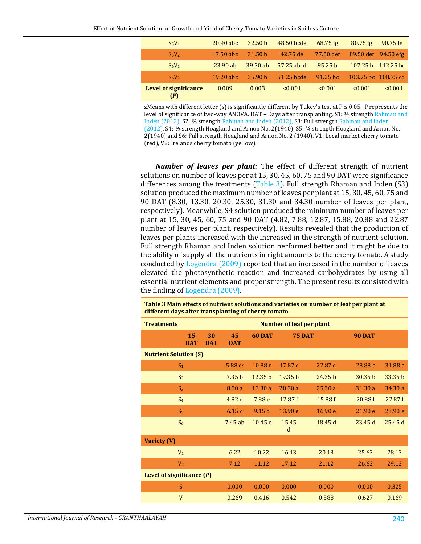| $S_5V_1$                            | $20.90$ abc | 32.50 <sub>b</sub> | 48.50 bcde | $68.75$ fg         | $80.75$ fg          | $90.75$ fg          |
|-------------------------------------|-------------|--------------------|------------|--------------------|---------------------|---------------------|
| S <sub>5</sub> V <sub>2</sub>       | $17.50$ abc | 31.50 <sub>b</sub> | 42.75 de   | 77.50 def          |                     | 89.50 def 94.50 efg |
| $S_6V_1$                            | $23.90$ ab  | $39.30$ ab         | 57.25 abcd | 95.25 <sub>b</sub> | 107.25 h            | $112.25$ bc         |
| $S_6V_2$                            | $19.20$ abc | 35.90 <sub>b</sub> | 51.25 bcde | $91.25$ bc         | 103.75 bc 108.75 cd |                     |
| <b>Level of significance</b><br>(P) | 0.009       | 0.003              | < 0.001    | < 0.001            | < 0.001             | < 0.001             |

zMeans with different letter (s) is significantly different by Tukey's test at  $P \le 0.05$ . P represents the level of significance of two-way ANOVA. DAT – Days after transplanting. S1: 1/2 strength Rahman and [Inden \(2012\),](#page-15-0) S2: ¾ strengt[h Rahman and Inden](#page-15-5) (2012), S3: Full strengt[h Rahman and Inden](#page-15-5) [\(2012\),](#page-15-5) S4: ½ strength Hoagland and Arnon No. 2(1940), S5: ¾ strength Hoagland and Arnon No. 2(1940) and S6: Full strength Hoagland and Arnon No. 2 (1940). V1: Local market cherry tomato (red), V2: Irelands cherry tomato (yellow).

*Number of leaves per plant:* The effect of different strength of nutrient solutions on number of leaves per at 15, 30, 45, 60, 75 and 90 DAT were significance differences among the treatments [\(Table 3\)](#page-5-0). Full strength Rhaman and Inden (S3) solution produced the maximum number of leaves per plant at 15, 30, 45, 60, 75 and 90 DAT (8.30, 13.30, 20.30, 25.30, 31.30 and 34.30 number of leaves per plant, respectively). Meanwhile, S4 solution produced the minimum number of leaves per plant at 15, 30, 45, 60, 75 and 90 DAT (4.82, 7.88, 12.87, 15.88, 20.88 and 22.87 number of leaves per plant, respectively). Results revealed that the production of leaves per plants increased with the increased in the strength of nutrient solution. Full strength Rhaman and Inden solution performed better and it might be due to the ability of supply all the nutrients in right amounts to the cherry tomato. A study conducted by [Logendra \(2009\)](#page-14-4) reported that an increased in the number of leaves elevated the photosynthetic reaction and increased carbohydrates by using all essential nutrient elements and proper strength. The present results consisted with the finding o[f Logendra \(2009\).](#page-14-4)

<span id="page-5-0"></span>**Table 3 Main effects of nutrient solutions and varieties on number of leaf per plant at different days after transplanting of cherry tomato**

| <b>Treatments</b>            |                  | <b>Number of leaf per plant</b> |                    |                    |         |               |                    |
|------------------------------|------------------|---------------------------------|--------------------|--------------------|---------|---------------|--------------------|
| 15<br><b>DAT</b>             | 30<br><b>DAT</b> | 45<br><b>DAT</b>                | 60 DAT             | <b>75 DAT</b>      |         | <b>90 DAT</b> |                    |
| <b>Nutrient Solution (S)</b> |                  |                                 |                    |                    |         |               |                    |
| S <sub>1</sub>               |                  | 5.88 $c^z$                      | 10.88c             | 17.87 c            | 22.87 c | 28.88 c       | 31.88 c            |
| S <sub>2</sub>               |                  | 7.35 <sub>b</sub>               | 12.35 <sub>b</sub> | 19.35 <sub>b</sub> | 24.35 b | 30.35 b       | 33.35 <sub>b</sub> |
| S <sub>3</sub>               |                  | 8.30a                           | 13.30a             | 20.30a             | 25.30a  | 31.30 a       | 34.30a             |
| S <sub>4</sub>               |                  | 4.82d                           | 7.88 e             | 12.87f             | 15.88f  | 20.88f        | 22.87f             |
| S <sub>5</sub>               |                  | 6.15c                           | 9.15d              | 13.90 e            | 16.90 e | 21.90 e       | 23.90 e            |
| S <sub>6</sub>               |                  | 7.45ab                          | 10.45c             | 15.45<br>d         | 18.45 d | 23.45 d       | 25.45d             |
| Variety (V)                  |                  |                                 |                    |                    |         |               |                    |
| $V_1$                        |                  | 6.22                            | 10.22              | 16.13              | 20.13   | 25.63         | 28.13              |
| V <sub>2</sub>               |                  | 7.12                            | 11.12              | 17.12              | 21.12   | 26.62         | 29.12              |
| Level of significance $(P)$  |                  |                                 |                    |                    |         |               |                    |
| S                            |                  | 0.000                           | 0.000              | 0.000              | 0.000   | 0.000         | 0.325              |
| $\mathbf{V}$                 |                  | 0.269                           | 0.416              | 0.542              | 0.588   | 0.627         | 0.169              |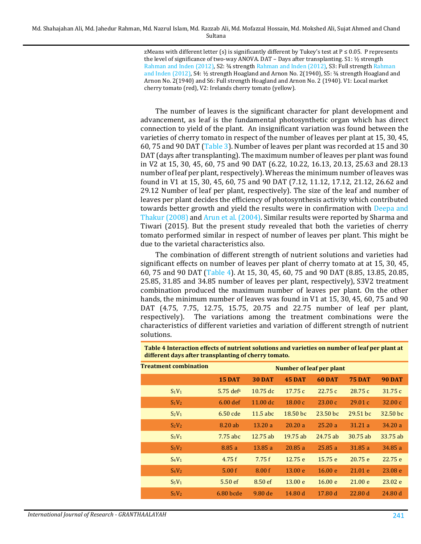zMeans with different letter (s) is significantly different by Tukey's test at  $P \le 0.05$ . P represents the level of significance of two-way ANOVA. DAT - Days after transplanting. S1: 1/2 strength [Rahman and Inden \(2012\),](#page-15-0) S2: ¾ strengt[h Rahman and Inden](#page-15-5) (2012), S3: Full strengt[h Rahman](#page-15-5)  [and Inden](#page-15-5) (2012), S4: ½ strength Hoagland and Arnon No. 2(1940), S5: ¾ strength Hoagland and Arnon No. 2(1940) and S6: Full strength Hoagland and Arnon No. 2 (1940). V1: Local market cherry tomato (red), V2: Irelands cherry tomato (yellow).

The number of leaves is the significant character for plant development and advancement, as leaf is the fundamental photosynthetic organ which has direct connection to yield of the plant. An insignificant variation was found between the varieties of cherry tomato in respect of the number of leaves per plant at 15, 30, 45, 60, 75 and 90 DAT [\(Table 3\)](#page-5-0). Number of leaves per plant was recorded at 15 and 30 DAT (days after transplanting). The maximum number of leaves per plant was found in V2 at 15, 30, 45, 60, 75 and 90 DAT (6.22, 10.22, 16.13, 20.13, 25.63 and 28.13 number of leaf per plant, respectively). Whereas the minimum number of leaves was found in V1 at 15, 30, 45, 60, 75 and 90 DAT (7.12, 11.12, 17.12, 21.12, 26.62 and 29.12 Number of leaf per plant, respectively). The size of the leaf and number of leaves per plant decides the efficiency of photosynthesis activity which contributed towards better growth and yield the results were in confirmation with [Deepa and](#page-13-8)  [Thakur \(2008\)](#page-13-8) an[d Arun et al. \(2004\).](#page-13-9) Similar results were reported by Sharma and Tiwari (2015). But the present study revealed that both the varieties of cherry tomato performed similar in respect of number of leaves per plant. This might be due to the varietal characteristics also.

The combination of different strength of nutrient solutions and varieties had significant effects on number of leaves per plant of cherry tomato at at 15, 30, 45, 60, 75 and 90 DAT [\(Table 4\)](#page-6-0). At 15, 30, 45, 60, 75 and 90 DAT (8.85, 13.85, 20.85, 25.85, 31.85 and 34.85 number of leaves per plant, respectively), S3V2 treatment combination produced the maximum number of leaves per plant. On the other hands, the minimum number of leaves was found in V1 at 15, 30, 45, 60, 75 and 90 DAT (4.75, 7.75, 12.75, 15.75, 20.75 and 22.75 number of leaf per plant, respectively). The variations among the treatment combinations were the The variations among the treatment combinations were the characteristics of different varieties and variation of different strength of nutrient solutions.

<span id="page-6-0"></span>**Table 4 Interaction effects of nutrient solutions and varieties on number of leaf per plant at different days after transplanting of cherry tomato.**

| <b>Treatment combination</b> | <b>Number of leaf per plant</b> |                    |               |               |               |               |
|------------------------------|---------------------------------|--------------------|---------------|---------------|---------------|---------------|
|                              | <b>15 DAT</b>                   | <b>30 DAT</b>      | <b>45 DAT</b> | <b>60 DAT</b> | <b>75 DAT</b> | <b>90 DAT</b> |
| $S_1V_1$                     | $5.75$ def <sup>z</sup>         | $10.75$ dc         | 17.75c        | 22.75c        | 28.75c        | 31.75c        |
| $S_1V_2$                     | $6.00$ def                      | $11.00 \text{ dc}$ | 18.00c        | 23.00c        | 29.01c        | 32.00c        |
| $S_2V_1$                     | $6.50$ cde                      | $11.5$ abc         | 18.50 bc      | $23.50$ bc    | $29.51$ bc    | 32.50 bc      |
| $S_2V_2$                     | 8.20 ab                         | 13.20a             | 20.20a        | 25.20a        | 31.21 a       | 34.20a        |
| $S_3V_1$                     | 7.75 abc                        | $12.75$ ab         | $19.75$ ab    | $24.75$ ab    | $30.75$ ab    | 33.75 ab      |
| $S_3V_2$                     | 8.85a                           | 13.85a             | 20.85a        | 25.85a        | 31.85a        | 34.85a        |
| $S_4V_1$                     | 4.75f                           | 7.75f              | 12.75 e       | 15.75 e       | 20.75e        | 22.75 e       |
| $S_4V_2$                     | 5.00 f                          | 8.00 f             | 13.00 e       | 16.00 e       | 21.01 e       | 23.08 e       |
| $S_5V_1$                     | $5.50$ ef                       | 8.50 ef            | 13.00 e       | 16.00 e       | 21.00 e       | 23.02 e       |
| $S_5V_2$                     | $6.80$ bcde                     | $9.80$ de          | 14.80 d       | 17.80 d       | 22.80 d       | 24.80 d       |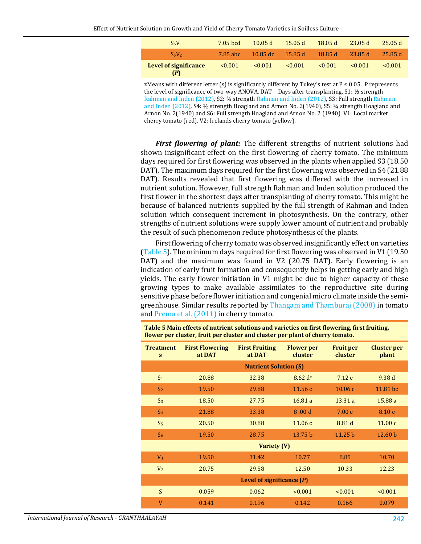| $S_6V_1$                            | 7.05 bcd    | 10.05 d                 | 15.05 d     | 18.05 d     | 23.05 d      | 25.05d      |
|-------------------------------------|-------------|-------------------------|-------------|-------------|--------------|-------------|
| $S_6V_2$                            | .7.85 abc   | $-10.85 \, \mathrm{dc}$ | 15.85 d     | 18.85 d     | 23.85 d      | -25.85 d    |
| <b>Level of significance</b><br>(P) | $\le 0.001$ | $\leq 0.001$            | $\le 0.001$ | $\le 0.001$ | $\leq 0.001$ | $\le 0.001$ |

zMeans with different letter (s) is significantly different by Tukey's test at  $P \le 0.05$ . P represents the level of significance of two-way ANOVA. DAT – Days after transplanting. S1: ½ strength [Rahman and Inden \(2012\),](#page-15-0) S2: ¾ strengt[h Rahman and Inden](#page-15-5) (2012), S3: Full strengt[h Rahman](#page-15-5)  [and Inden](#page-15-5) (2012), S4: ½ strength Hoagland and Arnon No. 2(1940), S5: ¾ strength Hoagland and Arnon No. 2(1940) and S6: Full strength Hoagland and Arnon No. 2 (1940). V1: Local market cherry tomato (red), V2: Irelands cherry tomato (yellow).

*First flowering of plant:* The different strengths of nutrient solutions had shown insignificant effect on the first flowering of cherry tomato. The minimum days required for first flowering was observed in the plants when applied S3 (18.50 DAT). The maximum days required for the first flowering was observed in S4 (21.88 DAT). Results revealed that first flowering was differed with the increased in nutrient solution. However, full strength Rahman and Inden solution produced the first flower in the shortest days after transplanting of cherry tomato. This might be because of balanced nutrients supplied by the full strength of Rahman and Inden solution which consequent increment in photosynthesis. On the contrary, other strengths of nutrient solutions were supply lower amount of nutrient and probably the result of such phenomenon reduce photosynthesis of the plants.

First flowering of cherry tomato was observed insignificantly effect on varieties [\(Table 5\)](#page-7-0). The minimum days required for first flowering was observed in V1 (19.50 DAT) and the maximum was found in V2 (20.75 DAT). Early flowering is an indication of early fruit formation and consequently helps in getting early and high yields. The early flower initiation in V1 might be due to higher capacity of these growing types to make available assimilates to the reproductive site during sensitive phase before flower initiation and congenial micro climate inside the semigreenhouse. Similar results reported by [Thangam and Thamburaj \(2008\)](#page-16-3) in tomato and [Prema et al. \(2011\)](#page-15-6) in cherry tomato.

<span id="page-7-0"></span>**Table 5 Main effects of nutrient solutions and varieties on first flowering, first fruiting, flower per cluster, fruit per cluster and cluster per plant of cherry tomato.**

| <b>Treatment</b><br>S | <b>First Flowering</b><br>at DAT | <b>First Fruiting</b><br>at DAT | <b>Flower</b> per<br>cluster | <b>Fruit per</b><br>cluster | <b>Cluster per</b><br>plant |
|-----------------------|----------------------------------|---------------------------------|------------------------------|-----------------------------|-----------------------------|
|                       |                                  | <b>Nutrient Solution (S)</b>    |                              |                             |                             |
| S <sub>1</sub>        | 20.88                            | 32.38                           | $8.62 \text{ d}^2$           | 7.12 e                      | 9.38d                       |
| S <sub>2</sub>        | 19.50                            | 29.88                           | 11.56c                       | 10.06c                      | 11.81 bc                    |
| S <sub>3</sub>        | 18.50                            | 27.75                           | 16.81a                       | 13.31a                      | 15.88a                      |
| $S_4$                 | 21.88                            | 33.38                           | 8.00 <sub>d</sub>            | 7.00 <sub>e</sub>           | 8.10e                       |
| S <sub>5</sub>        | 20.50                            | 30.88                           | 11.06c                       | 8.81 d                      | 11.00c                      |
| S <sub>6</sub>        | 19.50                            | 28.75                           | 13.75 <sub>b</sub>           | 11.25 <sub>b</sub>          | 12.60 <sub>b</sub>          |
|                       |                                  | Variety (V)                     |                              |                             |                             |
| V <sub>1</sub>        | 19.50                            | 31.42                           | 10.77                        | 8.85                        | 10.70                       |
| V <sub>2</sub>        | 20.75                            | 29.58                           | 12.50                        | 10.33                       | 12.23                       |
|                       |                                  | Level of significance $(P)$     |                              |                             |                             |
| S                     | 0.059                            | 0.062                           | < 0.001                      | < 0.001                     | < 0.001                     |
| $\overline{V}$        | 0.141                            | 0.196                           | 0.142                        | 0.166                       | 0.079                       |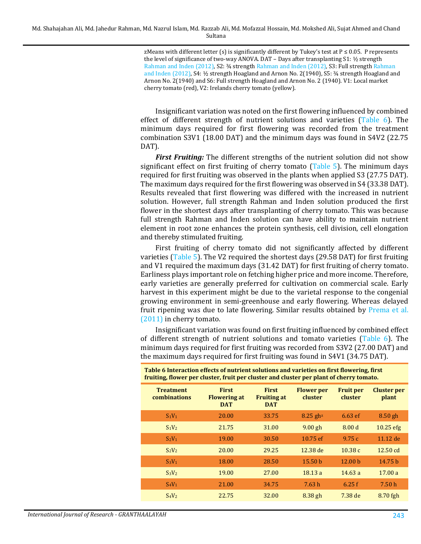zMeans with different letter (s) is significantly different by Tukey's test at  $P \le 0.05$ . P represents the level of significance of two-way ANOVA. DAT - Days after transplanting S1: 1/2 strength [Rahman and Inden \(2012\),](#page-15-0) S2: ¾ strengt[h Rahman and Inden](#page-15-5) (2012), S3: Full strengt[h Rahman](#page-15-5)  [and Inden](#page-15-5) (2012), S4: ½ strength Hoagland and Arnon No. 2(1940), S5: ¾ strength Hoagland and Arnon No. 2(1940) and S6: Full strength Hoagland and Arnon No. 2 (1940). V1: Local market cherry tomato (red), V2: Irelands cherry tomato (yellow).

Insignificant variation was noted on the first flowering influenced by combined effect of different strength of nutrient solutions and varieties [\(Table 6\)](#page-8-0). The minimum days required for first flowering was recorded from the treatment combination S3V1 (18.00 DAT) and the minimum days was found in S4V2 (22.75 DAT).

*First Fruiting:* The different strengths of the nutrient solution did not show significant effect on first fruiting of cherry tomato [\(Table 5\)](#page-7-0). The minimum days required for first fruiting was observed in the plants when applied S3 (27.75 DAT). The maximum days required for the first flowering was observed in S4 (33.38 DAT). Results revealed that first flowering was differed with the increased in nutrient solution. However, full strength Rahman and Inden solution produced the first flower in the shortest days after transplanting of cherry tomato. This was because full strength Rahman and Inden solution can have ability to maintain nutrient element in root zone enhances the protein synthesis, cell division, cell elongation and thereby stimulated fruiting.

First fruiting of cherry tomato did not significantly affected by different varieties [\(Table 5\)](#page-7-0). The V2 required the shortest days (29.58 DAT) for first fruiting and V1 required the maximum days (31.42 DAT) for first fruiting of cherry tomato. Earliness plays important role on fetching higher price and more income. Therefore, early varieties are generally preferred for cultivation on commercial scale. Early harvest in this experiment might be due to the varietal response to the congenial growing environment in semi-greenhouse and early flowering. Whereas delayed fruit ripening was due to late flowering. Similar results obtained by [Prema et al.](#page-15-6)  [\(2011\)](#page-15-6) in cherry tomato.

Insignificant variation was found on first fruiting influenced by combined effect of different strength of nutrient solutions and tomato varieties [\(Table 6\)](#page-8-0). The minimum days required for first fruiting was recorded from S3V2 (27.00 DAT) and the maximum days required for first fruiting was found in S4V1 (34.75 DAT).

| fruiting, flower per cluster, fruit per cluster and cluster per plant of cherry tomato. |                                                   |                                                  |                              |                             |                             |  |  |  |
|-----------------------------------------------------------------------------------------|---------------------------------------------------|--------------------------------------------------|------------------------------|-----------------------------|-----------------------------|--|--|--|
| <b>Treatment</b><br>combinations                                                        | <b>First</b><br><b>Flowering at</b><br><b>DAT</b> | <b>First</b><br><b>Fruiting at</b><br><b>DAT</b> | <b>Flower</b> per<br>cluster | <b>Fruit per</b><br>cluster | <b>Cluster per</b><br>plant |  |  |  |
| $S_1V_1$                                                                                | 20.00                                             | 33.75                                            | $8.25$ ghz                   | $6.63$ ef                   | $8.50$ gh                   |  |  |  |
| $S_1V_2$                                                                                | 21.75                                             | 31.00                                            | $9.00$ gh                    | 8.00 <sub>d</sub>           | $10.25$ efg                 |  |  |  |
| $S_2V_1$                                                                                | 19.00                                             | 30.50                                            | 10.75 ef                     | 9.75c                       | 11.12 de                    |  |  |  |
| $S_2V_2$                                                                                | 20.00                                             | 29.25                                            | 12.38 de                     | 10.38c                      | 12.50 cd                    |  |  |  |
| S <sub>3</sub> V <sub>1</sub>                                                           | 18.00                                             | 28.50                                            | 15.50 <sub>b</sub>           | 12.00 <sub>b</sub>          | 14.75 h                     |  |  |  |
| S <sub>3</sub> V <sub>2</sub>                                                           | 19.00                                             | 27.00                                            | 18.13a                       | 14.63a                      | 17.00a                      |  |  |  |
| $S_4V_1$                                                                                | 21.00                                             | 34.75                                            | 7.63h                        | 6.25f                       | 7.50h                       |  |  |  |
| $S_4V_2$                                                                                | 22.75                                             | 32.00                                            | $8.38$ gh                    | 7.38 de                     | $8.70$ fgh                  |  |  |  |
|                                                                                         |                                                   |                                                  |                              |                             |                             |  |  |  |

<span id="page-8-0"></span>

| Table 6 Interaction effects of nutrient solutions and varieties on first flowering, first |  |
|-------------------------------------------------------------------------------------------|--|
| fruiting, flower per cluster, fruit per cluster and cluster per plant of cherry tomato.   |  |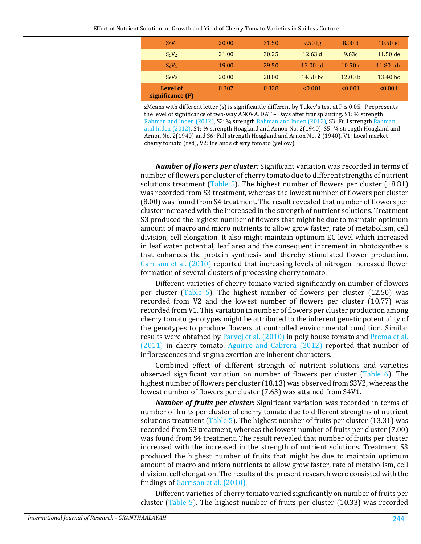| $S_5V_1$                       | 20.00 | 31.50 | $9.50$ fg  | 8.00 <sub>d</sub>  | 10.50 ef            |
|--------------------------------|-------|-------|------------|--------------------|---------------------|
| $S_5V_2$                       | 21.00 | 30.25 | 12.63 $d$  | 9.63c              | $11.50$ de          |
| $S_6V_1$                       | 19.00 | 29.50 | 13.00 cd   | 10.50c             | 11.80 cde           |
| $S_6V_2$                       | 20.00 | 28.00 | $14.50$ bc | 12.00 <sub>b</sub> | 13.40 <sub>bc</sub> |
| Level of<br>significance $(P)$ | 0.807 | 0.328 | < 0.001    | $\le 0.001$        | $\le 0.001$         |

zMeans with different letter (s) is significantly different by Tukey's test at  $P \le 0.05$ . P represents the level of significance of two-way ANOVA. DAT – Days after transplanting. S1: ½ strength [Rahman and Inden \(2012\),](#page-15-0) S2: ¾ strengt[h Rahman and Inden](#page-15-5) (2012), S3: Full strengt[h Rahman](#page-15-5)  [and Inden](#page-15-5) (2012), S4: ½ strength Hoagland and Arnon No. 2(1940), S5: ¾ strength Hoagland and Arnon No. 2(1940) and S6: Full strength Hoagland and Arnon No. 2 (1940). V1: Local market cherry tomato (red), V2: Irelands cherry tomato (yellow).

*Number of flowers per cluster:* Significant variation was recorded in terms of number of flowers per cluster of cherry tomato due to different strengths of nutrient solutions treatment [\(Table 5\)](#page-7-0). The highest number of flowers per cluster (18.81) was recorded from S3 treatment, whereas the lowest number of flowers per cluster (8.00) was found from S4 treatment. The result revealed that number of flowers per cluster increased with the increased in the strength of nutrient solutions. Treatment S3 produced the highest number of flowers that might be due to maintain optimum amount of macro and micro nutrients to allow grow faster, rate of metabolism, cell division, cell elongation. It also might maintain optimum EC level which increased in leaf water potential, leaf area and the consequent increment in photosynthesis that enhances the protein synthesis and thereby stimulated flower production. [Garrison et al. \(2010\)](#page-14-10) reported that increasing levels of nitrogen increased flower formation of several clusters of processing cherry tomato.

Different varieties of cherry tomato varied significantly on number of flowers per cluster [\(Table 5\)](#page-7-0). The highest number of flowers per cluster (12.50) was recorded from V2 and the lowest number of flowers per cluster (10.77) was recorded from V1. This variation in number of flowers per cluster production among cherry tomato genotypes might be attributed to the inherent genetic potentiality of the genotypes to produce flowers at controlled environmental condition. Similar results were obtained by [Parvej et al. \(2010\)](#page-15-7) in poly house tomato an[d Prema et al.](#page-15-6)  [\(2011\)](#page-15-6) in cherry tomato. [Aguirre and Cabrera \(2012\)](#page-13-10) reported that number of inflorescences and stigma exertion are inherent characters.

Combined effect of different strength of nutrient solutions and varieties observed significant variation on number of flowers per cluster [\(Table 6\)](#page-8-0). The highest number of flowers per cluster (18.13) was observed from S3V2, whereas the lowest number of flowers per cluster (7.63) was attained from S4V1.

*Number of fruits per cluster:* Significant variation was recorded in terms of number of fruits per cluster of cherry tomato due to different strengths of nutrient solutions treatment [\(Table 5\)](#page-7-0). The highest number of fruits per cluster (13.31) was recorded from S3 treatment, whereas the lowest number of fruits per cluster (7.00) was found from S4 treatment. The result revealed that number of fruits per cluster increased with the increased in the strength of nutrient solutions. Treatment S3 produced the highest number of fruits that might be due to maintain optimum amount of macro and micro nutrients to allow grow faster, rate of metabolism, cell division, cell elongation. The results of the present research were consisted with the findings o[f Garrison et al. \(2010\).](#page-14-10) 

Different varieties of cherry tomato varied significantly on number of fruits per cluster [\(Table 5\)](#page-7-0). The highest number of fruits per cluster (10.33) was recorded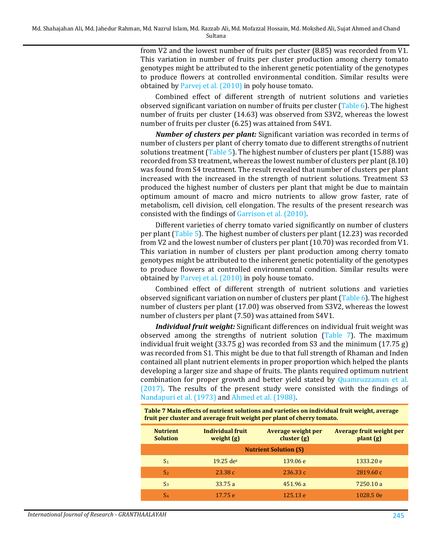from V2 and the lowest number of fruits per cluster (8.85) was recorded from V1. This variation in number of fruits per cluster production among cherry tomato genotypes might be attributed to the inherent genetic potentiality of the genotypes to produce flowers at controlled environmental condition. Similar results were obtained by [Parvej et al. \(2010\)](#page-15-7) in poly house tomato.

Combined effect of different strength of nutrient solutions and varieties observed significant variation on number of fruits per cluster [\(Table 6\)](#page-8-0). The highest number of fruits per cluster (14.63) was observed from S3V2, whereas the lowest number of fruits per cluster (6.25) was attained from S4V1.

*Number of clusters per plant:* Significant variation was recorded in terms of number of clusters per plant of cherry tomato due to different strengths of nutrient solutions treatment [\(Table 5\)](#page-7-0). The highest number of clusters per plant (15.88) was recorded from S3 treatment, whereas the lowest number of clusters per plant (8.10) was found from S4 treatment. The result revealed that number of clusters per plant increased with the increased in the strength of nutrient solutions. Treatment S3 produced the highest number of clusters per plant that might be due to maintain optimum amount of macro and micro nutrients to allow grow faster, rate of metabolism, cell division, cell elongation. The results of the present research was consisted with the findings of [Garrison et al. \(2010\).](#page-14-10) 

Different varieties of cherry tomato varied significantly on number of clusters per plant [\(Table 5\)](#page-7-0). The highest number of clusters per plant (12.23) was recorded from V2 and the lowest number of clusters per plant (10.70) was recorded from V1. This variation in number of clusters per plant production among cherry tomato genotypes might be attributed to the inherent genetic potentiality of the genotypes to produce flowers at controlled environmental condition. Similar results were obtained by [Parvej et al. \(2010\)](#page-15-7) in poly house tomato.

Combined effect of different strength of nutrient solutions and varieties observed significant variation on number of clusters per plant [\(Table 6\)](#page-8-0). The highest number of clusters per plant (17.00) was observed from S3V2, whereas the lowest number of clusters per plant (7.50) was attained from S4V1.

*Individual fruit weight:* Significant differences on individual fruit weight was observed among the strengths of nutrient solution [\(Table 7\)](#page-10-0). The maximum individual fruit weight (33.75 g) was recorded from S3 and the minimum (17.75 g) was recorded from S1. This might be due to that full strength of Rhaman and Inden contained all plant nutrient elements in proper proportion which helped the plants developing a larger size and shape of fruits. The plants required optimum nutrient combination for proper growth and better yield stated by [Quamruzzaman et al.](#page-15-8)  [\(2017\).](#page-15-8) The results of the present study were consisted with the findings of [Nandapuri et al. \(1973\)](#page-14-11) and [Ahmed](#page-13-11) et al. (1988).

<span id="page-10-0"></span>**Table 7 Main effects of nutrient solutions and varieties on individual fruit weight, average fruit per cluster and average fruit weight per plant of cherry tomato.**

| <b>Nutrient</b><br><b>Solution</b> | Individual fruit<br>weight $(g)$ | <b>Average weight per</b><br>cluster(g) | <b>Average fruit weight per</b><br>$\mathbf{plant}(\mathbf{g})$ |  |  |  |  |  |  |
|------------------------------------|----------------------------------|-----------------------------------------|-----------------------------------------------------------------|--|--|--|--|--|--|
| <b>Nutrient Solution (S)</b>       |                                  |                                         |                                                                 |  |  |  |  |  |  |
| S <sub>1</sub>                     | $19.25$ dez                      | 139.06 e                                | 1333.20 e                                                       |  |  |  |  |  |  |
| S <sub>2</sub>                     | 23.38c                           | 236.33c                                 | 2819.60c                                                        |  |  |  |  |  |  |
| S <sub>3</sub>                     | 33.75a                           | 451.96 a                                | 7250.10 a                                                       |  |  |  |  |  |  |
| S4                                 | 17.75 e                          | 125.13e                                 | 1028.5 0e                                                       |  |  |  |  |  |  |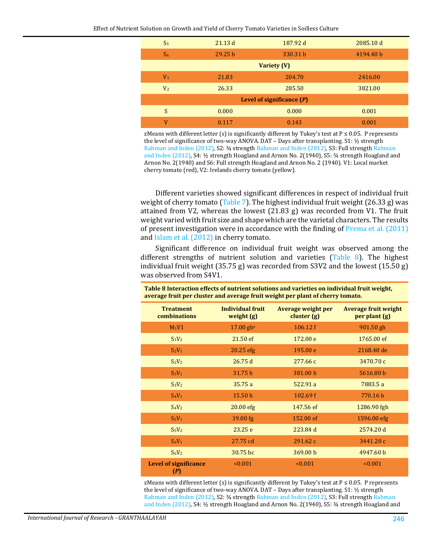| S <sub>5</sub>              | 21.13d             | 187.92 d | 2085.10 d |  |  |  |  |  |
|-----------------------------|--------------------|----------|-----------|--|--|--|--|--|
| S <sub>6</sub>              | 29.25 <sub>b</sub> | 330.31 b | 4194.40 b |  |  |  |  |  |
| <b>Variety (V)</b>          |                    |          |           |  |  |  |  |  |
| V <sub>1</sub>              | 21.83              | 204.70   | 2416.00   |  |  |  |  |  |
| V <sub>2</sub>              | 26.33              | 285.50   | 3821.00   |  |  |  |  |  |
| Level of significance $(P)$ |                    |          |           |  |  |  |  |  |
| <sub>S</sub>                | 0.000              | 0.000    | 0.001     |  |  |  |  |  |
| V                           | 0.117              | 0.143    | 0.001     |  |  |  |  |  |

zMeans with different letter (s) is significantly different by Tukey's test at  $P \le 0.05$ . P represents the level of significance of two-way ANOVA. DAT – Days after transplanting. S1: ½ strength [Rahman and Inden \(2012\),](#page-15-0) S2: ¾ strengt[h Rahman and Inden](#page-15-5) (2012), S3: Full strengt[h Rahman](#page-15-5)  [and Inden](#page-15-5) (2012), S4: ½ strength Hoagland and Arnon No. 2(1940), S5: ¾ strength Hoagland and Arnon No. 2(1940) and S6: Full strength Hoagland and Arnon No. 2 (1940). V1: Local market cherry tomato (red), V2: Irelands cherry tomato (yellow).

Different varieties showed significant differences in respect of individual fruit weight of cherry tomato [\(Table 7\)](#page-10-0). The highest individual fruit weight (26.33 g) was attained from V2, whereas the lowest (21.83 g) was recorded from V1. The fruit weight varied with fruit size and shape which are the varietal characters. The results of present investigation were in accordance with the finding of [Prema et al. \(2011\)](#page-15-6) and [Islam et al. \(2012\)](#page-14-8) in cherry tomato.

Significant difference on individual fruit weight was observed among the different strengths of nutrient solution and varieties [\(Table 8\)](#page-11-0). The highest individual fruit weight (35.75 g) was recorded from S3V2 and the lowest (15.50 g) was observed from S4V1.

<span id="page-11-0"></span>**Table 8 Interaction effects of nutrient solutions and varieties on individual fruit weight,** 

| average fruit per cluster and average fruit weight per plant of cherry tomato. |                                  |                                         |                                              |
|--------------------------------------------------------------------------------|----------------------------------|-----------------------------------------|----------------------------------------------|
| <b>Treatment</b><br>combinations                                               | Individual fruit<br>weight $(g)$ | <b>Average weight per</b><br>cluster(g) | <b>Average fruit weight</b><br>per plant (g) |
| $M_1V1$                                                                        | $17.00$ gh <sup>z</sup>          | 106.12 f                                | 901.50 gh                                    |
| $S_1V_2$                                                                       | 21.50 ef                         | 172.00 e                                | 1765.00 ef                                   |
| $S_2V_1$                                                                       | $20.25$ efg                      | 195.00 e                                | 2168.40 de                                   |
| $S_2V_2$                                                                       | 26.75d                           | 277.66 с                                | 3470.70 с                                    |
| $S_3V_1$                                                                       | 31.75 b                          | 381.00 b                                | 5616.80 b                                    |
| $S_3V_2$                                                                       | 35.75a                           | 522.91 a                                | 7883.5 a                                     |
| $S_4V_1$                                                                       | 15.50 h                          | 102.69 f                                | 770.16h                                      |
| $S_4V_2$                                                                       | $20.00$ efg                      | 147.56 ef                               | 1286.90 fgh                                  |
| $S_5V_1$                                                                       | 19.00 fg                         | 152.00 ef                               | 1596.00 efg                                  |
| $S_5V_2$                                                                       | 23.25 e                          | 223.84 d                                | 2574.20 d                                    |
| $S_6V_1$                                                                       | 27.75 cd                         | 291.62c                                 | 3441.20 с                                    |
| $S_6V_2$                                                                       | 30.75 bc                         | 369.00 b                                | 4947.60 b                                    |
| <b>Level of significance</b><br>(P)                                            | < 0.001                          | < 0.001                                 | < 0.001                                      |

zMeans with different letter (s) is significantly different by Tukey's test at  $P \le 0.05$ . P represents the level of significance of two-way ANOVA. DAT – Days after transplanting. S1: ½ strength [Rahman and Inden \(2012\),](#page-15-0) S2: ¾ strengt[h Rahman and Inden](#page-15-5) (2012), S3: Full strengt[h Rahman](#page-15-5)  [and Inden](#page-15-5) (2012), S4: ½ strength Hoagland and Arnon No. 2(1940), S5: ¾ strength Hoagland and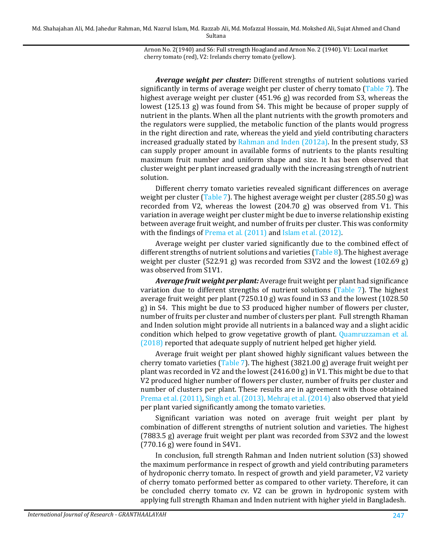Md. Shahajahan Ali, Md. Jahedur Rahman, Md. Nazrul Islam, Md. Razzab Ali, Md. Mofazzal Hossain, Md. Mokshed Ali, Sujat Ahmed and Chand Sultana

> Arnon No. 2(1940) and S6: Full strength Hoagland and Arnon No. 2 (1940). V1: Local market cherry tomato (red), V2: Irelands cherry tomato (yellow).

*Average weight per cluster:* Different strengths of nutrient solutions varied significantly in terms of average weight per cluster of cherry tomato [\(Table 7\)](#page-10-0). The highest average weight per cluster (451.96 g) was recorded from S3, whereas the lowest (125.13 g) was found from S4. This might be because of proper supply of nutrient in the plants. When all the plant nutrients with the growth promoters and the regulators were supplied, the metabolic function of the plants would progress in the right direction and rate, whereas the yield and yield contributing characters increased gradually stated by [Rahman and Inden \(2012a\).](#page-15-0) In the present study, S3 can supply proper amount in available forms of nutrients to the plants resulting maximum fruit number and uniform shape and size. It has been observed that cluster weight per plant increased gradually with the increasing strength of nutrient solution.

Different cherry tomato varieties revealed significant differences on average weight per cluster [\(Table 7\)](#page-10-0). The highest average weight per cluster (285.50 g) was recorded from V2, whereas the lowest  $(204.70 \text{ g})$  was observed from V1. This variation in average weight per cluster might be due to inverse relationship existing between average fruit weight, and number of fruits per cluster. This was conformity with the findings of [Prema et al. \(2011\)](#page-15-6) and Islam et al. (2012).

Average weight per cluster varied significantly due to the combined effect of different strengths of nutrient solutions and varieties [\(Table 8\)](#page-11-0). The highest average weight per cluster (522.91 g) was recorded from S3V2 and the lowest (102.69 g) was observed from S1V1.

*Average fruit weight per plant:* Average fruit weight per plant had significance variation due to different strengths of nutrient solutions [\(Table 7\)](#page-10-0). The highest average fruit weight per plant (7250.10 g) was found in S3 and the lowest (1028.50 g) in S4. This might be due to S3 produced higher number of flowers per cluster, number of fruits per cluster and number of clusters per plant. Full strength Rhaman and Inden solution might provide all nutrients in a balanced way and a slight acidic condition which helped to grow vegetative growth of plant. [Quamruzzaman et al.](#page-15-9)  [\(2018\)](#page-15-9) reported that adequate supply of nutrient helped get higher yield.

Average fruit weight per plant showed highly significant values between the cherry tomato varieties [\(Table 7\)](#page-10-0). The highest (3821.00 g) average fruit weight per plant was recorded in V2 and the lowest  $(2416.00 g)$  in V1. This might be due to that V2 produced higher number of flowers per cluster, number of fruits per cluster and number of clusters per plant. These results are in agreement with those obtained [Prema et al. \(2011\),](#page-15-6) [Singh et al. \(2013\).](#page-15-10) [Mehraj et al. \(2014\)](#page-14-12) also observed that yield per plant varied significantly among the tomato varieties.

Significant variation was noted on average fruit weight per plant by combination of different strengths of nutrient solution and varieties. The highest (7883.5 g) average fruit weight per plant was recorded from S3V2 and the lowest (770.16 g) were found in S4V1.

In conclusion, full strength Rahman and Inden nutrient solution (S3) showed the maximum performance in respect of growth and yield contributing parameters of hydroponic cherry tomato. In respect of growth and yield parameter, V2 variety of cherry tomato performed better as compared to other variety. Therefore, it can be concluded cherry tomato cv. V2 can be grown in hydroponic system with applying full strength Rhaman and Inden nutrient with higher yield in Bangladesh.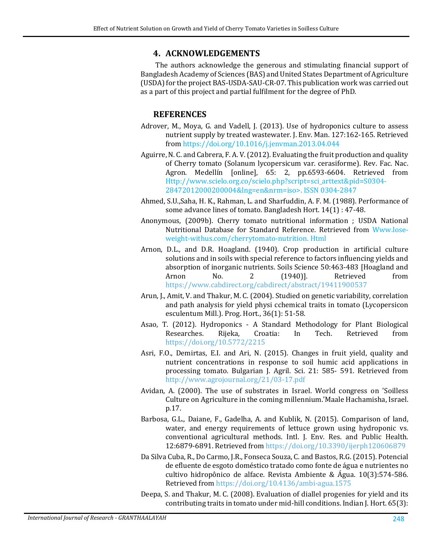### **4. ACKNOWLEDGEMENTS**

The authors acknowledge the generous and stimulating financial support of Bangladesh Academy of Sciences (BAS) and United States Department of Agriculture (USDA) for the project BAS-USDA-SAU-CR-07. This publication work was carried out as a part of this project and partial fulfilment for the degree of PhD.

# **REFERENCES**

- <span id="page-13-2"></span>Adrover, M., Moya, G. and Vadell, J. (2013). Use of hydroponics culture to assess nutrient supply by treated wastewater. J. Env. Man. 127:162-165. Retrieved from <https://doi.org/10.1016/j.jenvman.2013.04.044>
- <span id="page-13-10"></span>Aguirre, N. C. and Cabrera, F. A. V. (2012). Evaluating the fruit production and quality of Cherry tomato (Solanum lycopersicum var. cerasiforme). Rev. Fac. Nac. Agron. Medellín [online], 65: 2, pp.6593-6604. Retrieved from Http://www.scielo.org.co/scielo.php?script=sci\_arttext&pid=S0304- 28472012000200004&lng=en&nrm=iso>. ISSN 0304-2847
- <span id="page-13-11"></span>Ahmed, S.U.,Saha, H. K., Rahman, L. and Sharfuddin, A. F. M. (1988). Performance of some advance lines of tomato. Bangladesh Hort. 14(1) : 47-48.
- <span id="page-13-6"></span>Anonymous, (2009b). Cherry tomato nutritional information ; USDA National Nutritional Database for Standard Reference. Retrieved from Www.loseweight-withus.com/cherrytomato-nutrition. Html
- <span id="page-13-0"></span>Arnon, D.L., and D.R. Hoagland. (1940). Crop production in artificial culture solutions and in soils with special reference to factors influencing yields and absorption of inorganic nutrients. Soils Science 50:463-483 [Hoagland and Arnon No. 2 (1940)]. Retrieved from Arnon No. 2 (1940)]. Retrieved from <https://www.cabdirect.org/cabdirect/abstract/19411900537>
- <span id="page-13-9"></span>Arun, J., Amit, V. and Thakur, M. C. (2004). Studied on genetic variability, correlation and path analysis for yield physi cchemical traits in tomato (Lycopersicon esculentum Mill.). Prog. Hort., 36(1): 51-58.
- <span id="page-13-4"></span>Asao, T. (2012). Hydroponics - A Standard Methodology for Plant Biological Researches. Rijeka, Croatia: In Tech. Retrieved from <https://doi.org/10.5772/2215>
- <span id="page-13-7"></span>Asri, F.O., Demirtas, E.I. and Ari, N. (2015). Changes in fruit yield, quality and nutrient concentrations in response to soil humic acid applications in processing tomato. Bulgarian J. Agril. Sci. 21: 585- 591. Retrieved from <http://www.agrojournal.org/21/03-17.pdf>
- <span id="page-13-1"></span>Avidan, A. (2000). The use of substrates in Israel. World congress on 'Soilless Culture on Agriculture in the coming millennium.'Maale Hachamisha, Israel. p.17.
- <span id="page-13-5"></span>Barbosa, G.L., Daiane, F., Gadelha, A. and Kublik, N. (2015). Comparison of land, water, and energy requirements of lettuce grown using hydroponic vs. conventional agricultural methods. Intl. J. Env. Res. and Public Health. 12:6879-6891. Retrieved from <https://doi.org/10.3390/ijerph120606879>
- <span id="page-13-3"></span>Da Silva Cuba, R., Do Carmo, J.R., Fonseca Souza, C. and Bastos, R.G. (2015). Potencial de efluente de esgoto doméstico tratado como fonte de água e nutrientes no cultivo hidropônico de alface. Revista Ambiente & Água. 10(3):574-586. Retrieved from <https://doi.org/10.4136/ambi-agua.1575>
- <span id="page-13-8"></span>Deepa, S. and Thakur, M. C. (2008). Evaluation of diallel progenies for yield and its contributing traits in tomato under mid-hill conditions. Indian J. Hort. 65(3):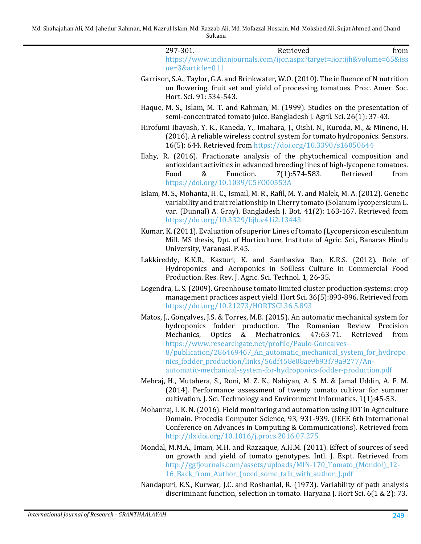297-301. From Retrieved from [https://www.indianjournals.com/ijor.aspx?target=ijor:ijh&volume=65&iss](https://www.indianjournals.com/ijor.aspx?target=ijor:ijh&volume=65&issue=3&article=011) [ue=3&article=011](https://www.indianjournals.com/ijor.aspx?target=ijor:ijh&volume=65&issue=3&article=011)

- <span id="page-14-10"></span>Garrison, S.A., Taylor, G.A. and Brinkwater, W.O. (2010). The influence of N nutrition on flowering, fruit set and yield of processing tomatoes. Proc. Amer. Soc. Hort. Sci. 91: 534-543.
- <span id="page-14-5"></span>Haque, M. S., Islam, M. T. and Rahman, M. (1999). Studies on the presentation of semi-concentrated tomato juice. Bangladesh J. Agril. Sci. 26(1): 37-43.
- <span id="page-14-3"></span>Hirofumi Ibayash, Y. K., Kaneda, Y., Imahara, J., Oishi, N., Kuroda, M., & Mineno, H. (2016). A reliable wireless control system for tomato hydroponics. Sensors. 16(5): 644. Retrieved from <https://doi.org/10.3390/s16050644>
- <span id="page-14-7"></span>Ilahy, R. (2016). Fractionate analysis of the phytochemical composition and antioxidant activities in advanced breeding lines of high-lycopene tomatoes.<br>Food & Function. 7(1):574-583. Retrieved from  $7(1):574-583.$ <https://doi.org/10.1039/C5FO00553A>
- <span id="page-14-8"></span>Islam, M. S., Mohanta, H. C., Ismail, M. R., Rafil, M. Y. and Malek, M. A. (2012). Genetic variability and trait relationship in Cherry tomato (Solanum lycopersicum L. var. (Dunnal) A. Gray). Bangladesh J. Bot. 41(2): 163-167. Retrieved from <https://doi.org/10.3329/bjb.v41i2.13443>
- <span id="page-14-9"></span>Kumar, K. (2011). Evaluation of superior Lines of tomato (Lycopersicon esculentum Mill. MS thesis, Dpt. of Horticulture, Institute of Agric. Sci., Banaras Hindu University, Varanasi. P.45.
- <span id="page-14-0"></span>Lakkireddy, K.K.R., Kasturi, K. and Sambasiva Rao, K.R.S. (2012). Role of Hydroponics and Aeroponics in Soilless Culture in Commercial Food Production. Res. Rev. J. Agric. Sci. Technol. 1, 26-35.
- <span id="page-14-4"></span>Logendra, L. S. (2009). Greenhouse tomato limited cluster production systems: crop management practices aspect yield. Hort Sci. 36(5):893-896. Retrieved from <https://doi.org/10.21273/HORTSCI.36.5.893>
- <span id="page-14-1"></span>Matos, J., Gonçalves, J.S. & Torres, M.B. (2015). An automatic mechanical system for hydroponics fodder production. The Romanian Review Precision<br>Mechanics, Optics & Mechatronics. 47:63-71. Retrieved from Mechatronics. [https://www.researchgate.net/profile/Paulo-Goncalves-](https://www.researchgate.net/profile/Paulo-Goncalves-8/publication/286469467_An_automatic_mechanical_system_for_hydroponics_fodder_production/links/56df458e08ae9b93f79a9277/An-automatic-mechanical-system-for-hydroponics-fodder-production.pdf)8/publication/286469467 An automatic mechanical system for hydropo [nics\\_fodder\\_production/links/56df458e08ae9b93f79a9277/An](https://www.researchgate.net/profile/Paulo-Goncalves-8/publication/286469467_An_automatic_mechanical_system_for_hydroponics_fodder_production/links/56df458e08ae9b93f79a9277/An-automatic-mechanical-system-for-hydroponics-fodder-production.pdf)[automatic-mechanical-system-for-hydroponics-fodder-production.pdf](https://www.researchgate.net/profile/Paulo-Goncalves-8/publication/286469467_An_automatic_mechanical_system_for_hydroponics_fodder_production/links/56df458e08ae9b93f79a9277/An-automatic-mechanical-system-for-hydroponics-fodder-production.pdf)
- <span id="page-14-12"></span>Mehraj, H., Mutahera, S., Roni, M. Z. K., Nahiyan, A. S. M. & Jamal Uddin, A. F. M. (2014). Performance assessment of twenty tomato cultivar for summer cultivation. J. Sci. Technology and Environment Informatics. 1(1):45-53.
- <span id="page-14-2"></span>Mohanraj, I. K. N. (2016). Field monitoring and automation using IOT in Agriculture Domain. Procedia Computer Science, 93, 931-939. (IEEE 6th International Conference on Advances in Computing & Communications). Retrieved from <http://dx.doi.org/10.1016/j.procs.2016.07.275>
- <span id="page-14-6"></span>Mondal, M.M.A., Imam, M.H. and Razzaque, A.H.M. (2011). Effect of sources of seed on growth and yield of tomato genotypes. Intl. J. Expt. Retrieved from [http://ggfjournals.com/assets/uploads/MIN-170\\_Tomato\\_\(Mondol\)\\_12-](http://ggfjournals.com/assets/uploads/MIN-170_Tomato_(Mondol)_12-16_Back_from_Author_(need_some_talk_with_author_).pdf) [16\\_Back\\_from\\_Author\\_\(need\\_some\\_talk\\_with\\_author\\_\).pdf](http://ggfjournals.com/assets/uploads/MIN-170_Tomato_(Mondol)_12-16_Back_from_Author_(need_some_talk_with_author_).pdf)
- <span id="page-14-11"></span>Nandapuri, K.S., Kurwar, J.C. and Roshanlal, R. (1973). Variability of path analysis discriminant function, selection in tomato. Haryana J. Hort Sci. 6(1 & 2): 73.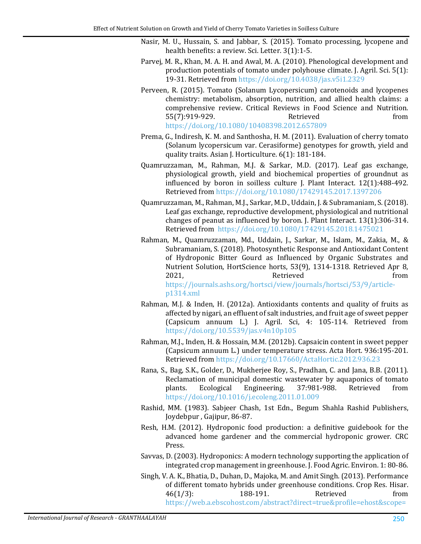- <span id="page-15-7"></span><span id="page-15-3"></span>Nasir, M. U., Hussain, S. and Jabbar, S. (2015). Tomato processing, lycopene and health benefits: a review. Sci. Letter. 3(1):1-5.
- Parvej, M. R., Khan, M. A. H. and Awal, M. A. (2010). Phenological development and production potentials of tomato under polyhouse climate. J. Agril. Sci. 5(1): 19-31. Retrieved from <https://doi.org/10.4038/jas.v5i1.2329>
- <span id="page-15-4"></span>Perveen, R. (2015). Tomato (Solanum Lycopersicum) carotenoids and lycopenes chemistry: metabolism, absorption, nutrition, and allied health claims: a comprehensive review. Critical Reviews in Food Science and Nutrition. 55(7):919-929. <https://doi.org/10.1080/10408398.2012.657809>
- <span id="page-15-6"></span>Prema, G., Indiresh, K. M. and Santhosha, H. M. (2011). Evaluation of cherry tomato (Solanum lycopersicum var. Cerasiforme) genotypes for growth, yield and quality traits. Asian J. Horticulture. 6(1): 181-184.
- <span id="page-15-8"></span>Quamruzzaman, M., Rahman, M.J. & Sarkar, M.D. (2017). Leaf gas exchange, physiological growth, yield and biochemical properties of groundnut as influenced by boron in soilless culture J. Plant Interact. 12(1):488-492. Retrieved from <https://doi.org/10.1080/17429145.2017.1397206>
- <span id="page-15-9"></span>Quamruzzaman, M., Rahman, M.J., Sarkar, M.D., Uddain, J. & Subramaniam, S. (2018). Leaf gas exchange, reproductive development, physiological and nutritional changes of peanut as influenced by boron. J. Plant Interact. 13(1):306-314. Retrieved from <https://doi.org/10.1080/17429145.2018.1475021>
- Rahman, M., Quamruzzaman, Md., Uddain, J., Sarkar, M., Islam, M., Zakia, M., & Subramaniam, S. (2018). Photosynthetic Response and Antioxidant Content of Hydroponic Bitter Gourd as Influenced by Organic Substrates and Nutrient Solution, HortScience horts, 53(9), 1314-1318. Retrieved Apr 8, 2021, The Retrieved Retrieved from [https://journals.ashs.org/hortsci/view/journals/hortsci/53/9/article](https://journals.ashs.org/hortsci/view/journals/hortsci/53/9/article-p1314.xml)[p1314.xml](https://journals.ashs.org/hortsci/view/journals/hortsci/53/9/article-p1314.xml)
- <span id="page-15-0"></span>Rahman, M.J. & Inden, H. (2012a). Antioxidants contents and quality of fruits as affected by nigari, an effluent of salt industries, and fruit age of sweet pepper (Capsicum annuum L.) J. Agril. Sci, 4: 105-114. Retrieved from <https://doi.org/10.5539/jas.v4n10p105>
- <span id="page-15-5"></span>Rahman, M.J., Inden, H. & Hossain, M.M. (2012b). Capsaicin content in sweet pepper (Capsicum annuum L.) under temperature stress. Acta Hort. 936:195-201. Retrieved from <https://doi.org/10.17660/ActaHortic.2012.936.23>
- <span id="page-15-2"></span>Rana, S., Bag, S.K., Golder, D., Mukherjee Roy, S., Pradhan, C. and Jana, B.B. (2011). Reclamation of municipal domestic wastewater by aquaponics of tomato<br>plants. Ecological Engineering. 37:981-988. Retrieved from Engineering. <https://doi.org/10.1016/j.ecoleng.2011.01.009>
- Rashid, MM. (1983). Sabjeer Chash, 1st Edn., Begum Shahla Rashid Publishers, Joydebpur , Gajipur, 86-87.
- <span id="page-15-1"></span>Resh, H.M. (2012). Hydroponic food production: a definitive guidebook for the advanced home gardener and the commercial hydroponic grower. CRC Press.
- Savvas, D. (2003). Hydroponics: A modern technology supporting the application of integrated crop management in greenhouse. J. Food Agric. Environ. 1: 80-86.
- <span id="page-15-10"></span>Singh, V. A. K., Bhatia, D., Duhan, D., Majoka, M. and Amit Singh. (2013). Performance of different tomato hybrids under greenhouse conditions. Crop Res. Hisar.<br>46(1/3): 188-191. Retrieved from 46(1/3): 188-191. Retrieved from [https://web.a.ebscohost.com/abstract?direct=true&profile=ehost&scope=](https://web.a.ebscohost.com/abstract?direct=true&profile=ehost&scope=site&authtype=crawler&jrnl=09704884&AN=96003104&h=t0%2bI6MSUgbfk%2fxzNHcE6OZeR1CCUGDsWwsgQzlkob4%2bEm6EjuU8KqwNQN9VUeL59h%2f1cry4AlqjemZy8q3ELIA%3d%3d&crl=c&resultNs=AdminWebAuth&resultLocal=ErrCrlNotAuth&crlhashurl=login.aspx%3fdirect%3dtrue%26profile%3dehost%26scope%3dsite%26authtype%3dcrawler%26jrnl%3d09704884%26AN%3d96003104)